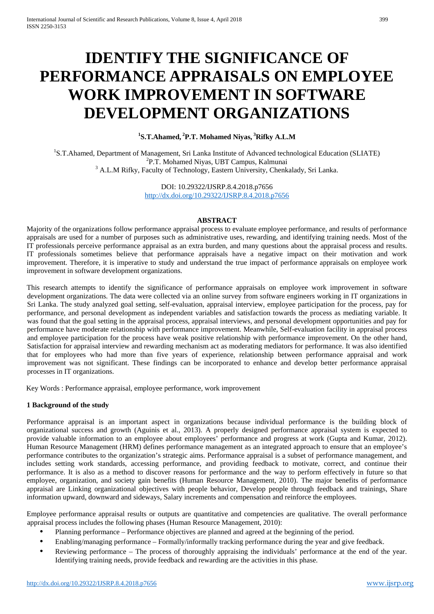# **IDENTIFY THE SIGNIFICANCE OF PERFORMANCE APPRAISALS ON EMPLOYEE WORK IMPROVEMENT IN SOFTWARE DEVELOPMENT ORGANIZATIONS**

# **1 S.T.Ahamed, <sup>2</sup> P.T. Mohamed Niyas, <sup>3</sup> Rifky A.L.M**

<sup>1</sup>S.T.Ahamed, Department of Management, Sri Lanka Institute of Advanced technological Education (SLIATE) <sup>2</sup>P.T. Mohamed Niyas, UBT Campus, Kalmunai<br><sup>3</sup> A.L.M Rifky, Faculty of Technology, Eastern University, Chenkalady, Sri Lanka.

> DOI: 10.29322/IJSRP.8.4.2018.p7656 <http://dx.doi.org/10.29322/IJSRP.8.4.2018.p7656>

#### **ABSTRACT**

Majority of the organizations follow performance appraisal process to evaluate employee performance, and results of performance appraisals are used for a number of purposes such as administrative uses, rewarding, and identifying training needs. Most of the IT professionals perceive performance appraisal as an extra burden, and many questions about the appraisal process and results. IT professionals sometimes believe that performance appraisals have a negative impact on their motivation and work improvement. Therefore, it is imperative to study and understand the true impact of performance appraisals on employee work improvement in software development organizations.

This research attempts to identify the significance of performance appraisals on employee work improvement in software development organizations. The data were collected via an online survey from software engineers working in IT organizations in Sri Lanka. The study analyzed goal setting, self-evaluation, appraisal interview, employee participation for the process, pay for performance, and personal development as independent variables and satisfaction towards the process as mediating variable. It was found that the goal setting in the appraisal process, appraisal interviews, and personal development opportunities and pay for performance have moderate relationship with performance improvement. Meanwhile, Self-evaluation facility in appraisal process and employee participation for the process have weak positive relationship with performance improvement. On the other hand, Satisfaction for appraisal interview and rewarding mechanism act as moderating mediators for performance. It was also identified that for employees who had more than five years of experience, relationship between performance appraisal and work improvement was not significant. These findings can be incorporated to enhance and develop better performance appraisal processes in IT organizations.

Key Words : Performance appraisal, employee performance, work improvement

## **1 Background of the study**

Performance appraisal is an important aspect in organizations because individual performance is the building block of organizational success and growth (Aguinis et al., 2013). A properly designed performance appraisal system is expected to provide valuable information to an employee about employees' performance and progress at work (Gupta and Kumar, 2012). Human Resource Management (HRM) defines performance management as an integrated approach to ensure that an employee's performance contributes to the organization's strategic aims. Performance appraisal is a subset of performance management, and includes setting work standards, accessing performance, and providing feedback to motivate, correct, and continue their performance. It is also as a method to discover reasons for performance and the way to perform effectively in future so that employee, organization, and society gain benefits (Human Resource Management, 2010). The major benefits of performance appraisal are Linking organizational objectives with people behavior, Develop people through feedback and trainings, Share information upward, downward and sideways, Salary increments and compensation and reinforce the employees.

Employee performance appraisal results or outputs are quantitative and competencies are qualitative. The overall performance appraisal process includes the following phases (Human Resource Management, 2010):

- Planning performance Performance objectives are planned and agreed at the beginning of the period.
- Enabling/managing performance Formally/informally tracking performance during the year and give feedback.
- Reviewing performance The process of thoroughly appraising the individuals' performance at the end of the year. Identifying training needs, provide feedback and rewarding are the activities in this phase.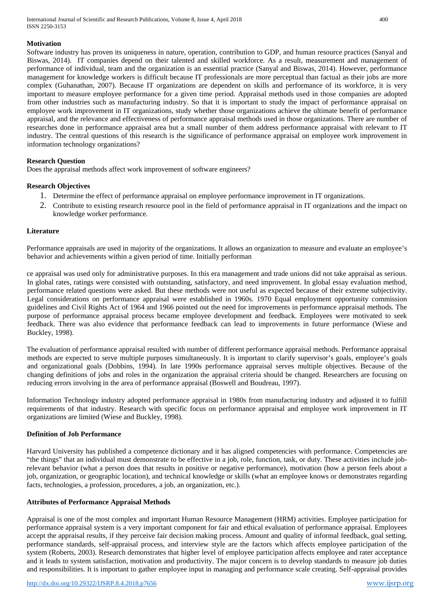International Journal of Scientific and Research Publications, Volume 8, Issue 4, April 2018 400 ISSN 2250-3153

## **Motivation**

Software industry has proven its uniqueness in nature, operation, contribution to GDP, and human resource practices (Sanyal and Biswas, 2014). IT companies depend on their talented and skilled workforce. As a result, measurement and management of performance of individual, team and the organization is an essential practice (Sanyal and Biswas, 2014). However, performance management for knowledge workers is difficult because IT professionals are more perceptual than factual as their jobs are more complex (Guhanathan, 2007). Because IT organizations are dependent on skills and performance of its workforce, it is very important to measure employee performance for a given time period. Appraisal methods used in those companies are adopted from other industries such as manufacturing industry. So that it is important to study the impact of performance appraisal on employee work improvement in IT organizations, study whether those organizations achieve the ultimate benefit of performance appraisal, and the relevance and effectiveness of performance appraisal methods used in those organizations. There are number of researches done in performance appraisal area but a small number of them address performance appraisal with relevant to IT industry. The central questions of this research is the significance of performance appraisal on employee work improvement in information technology organizations?

## **Research Question**

Does the appraisal methods affect work improvement of software engineers?

#### **Research Objectives**

- 1. Determine the effect of performance appraisal on employee performance improvement in IT organizations.
- 2. Contribute to existing research resource pool in the field of performance appraisal in IT organizations and the impact on knowledge worker performance.

#### **Literature**

Performance appraisals are used in majority of the organizations. It allows an organization to measure and evaluate an employee's behavior and achievements within a given period of time. Initially performan

ce appraisal was used only for administrative purposes. In this era management and trade unions did not take appraisal as serious. In global rates, ratings were consisted with outstanding, satisfactory, and need improvement. In global essay evaluation method, performance related questions were asked. But these methods were not useful as expected because of their extreme subjectivity. Legal considerations on performance appraisal were established in 1960s. 1970 Equal employment opportunity commission guidelines and Civil Rights Act of 1964 and 1966 pointed out the need for improvements in performance appraisal methods. The purpose of performance appraisal process became employee development and feedback. Employees were motivated to seek feedback. There was also evidence that performance feedback can lead to improvements in future performance (Wiese and Buckley, 1998).

The evaluation of performance appraisal resulted with number of different performance appraisal methods. Performance appraisal methods are expected to serve multiple purposes simultaneously. It is important to clarify supervisor's goals, employee's goals and organizational goals (Dobbins, 1994). In late 1990s performance appraisal serves multiple objectives. Because of the changing definitions of jobs and roles in the organization the appraisal criteria should be changed. Researchers are focusing on reducing errors involving in the area of performance appraisal (Boswell and Boudreau, 1997).

Information Technology industry adopted performance appraisal in 1980s from manufacturing industry and adjusted it to fulfill requirements of that industry. Research with specific focus on performance appraisal and employee work improvement in IT organizations are limited (Wiese and Buckley, 1998).

#### **Definition of Job Performance**

Harvard University has published a competence dictionary and it has aligned competencies with performance. Competencies are "the things" that an individual must demonstrate to be effective in a job, role, function, task, or duty. These activities include jobrelevant behavior (what a person does that results in positive or negative performance), motivation (how a person feels about a job, organization, or geographic location), and technical knowledge or skills (what an employee knows or demonstrates regarding facts, technologies, a profession, procedures, a job, an organization, etc.).

#### **Attributes of Performance Appraisal Methods**

Appraisal is one of the most complex and important Human Resource Management (HRM) activities. Employee participation for performance appraisal system is a very important component for fair and ethical evaluation of performance appraisal. Employees accept the appraisal results, if they perceive fair decision making process. Amount and quality of informal feedback, goal setting, performance standards, self-appraisal process, and interview style are the factors which affects employee participation of the system (Roberts, 2003). Research demonstrates that higher level of employee participation affects employee and rater acceptance and it leads to system satisfaction, motivation and productivity. The major concern is to develop standards to measure job duties and responsibilities. It is important to gather employee input in managing and performance scale creating. Self-appraisal provides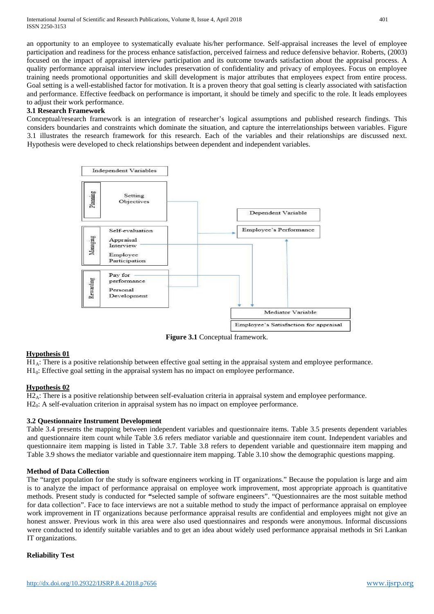International Journal of Scientific and Research Publications, Volume 8, Issue 4, April 2018 401 ISSN 2250-3153

an opportunity to an employee to systematically evaluate his/her performance. Self-appraisal increases the level of employee participation and readiness for the process enhance satisfaction, perceived fairness and reduce defensive behavior. Roberts, (2003) focused on the impact of appraisal interview participation and its outcome towards satisfaction about the appraisal process. A quality performance appraisal interview includes preservation of confidentiality and privacy of employees. Focus on employee training needs promotional opportunities and skill development is major attributes that employees expect from entire process. Goal setting is a well-established factor for motivation. It is a proven theory that goal setting is clearly associated with satisfaction and performance. Effective feedback on performance is important, it should be timely and specific to the role. It leads employees to adjust their work performance.

## **3.1 Research Framework**

Conceptual/research framework is an integration of researcher's logical assumptions and published research findings. This considers boundaries and constraints which dominate the situation, and capture the interrelationships between variables. Figure 3.1 illustrates the research framework for this research. Each of the variables and their relationships are discussed next. Hypothesis were developed to check relationships between dependent and independent variables.



**Figure 3.1** Conceptual framework.

## **Hypothesis 01**

 $H_4$ : There is a positive relationship between effective goal setting in the appraisal system and employee performance.  $H_0$ : Effective goal setting in the appraisal system has no impact on employee performance.

## **Hypothesis 02**

 $H2_A$ : There is a positive relationship between self-evaluation criteria in appraisal system and employee performance.  $H2<sub>0</sub>$ : A self-evaluation criterion in appraisal system has no impact on employee performance.

# **3.2 Questionnaire Instrument Development**

Table 3.4 presents the mapping between independent variables and questionnaire items. Table 3.5 presents dependent variables and questionnaire item count while Table 3.6 refers mediator variable and questionnaire item count. Independent variables and questionnaire item mapping is listed in Table 3.7. Table 3.8 refers to dependent variable and questionnaire item mapping and Table 3.9 shows the mediator variable and questionnaire item mapping. Table 3.10 show the demographic questions mapping.

## **Method of Data Collection**

The "target population for the study is software engineers working in IT organizations." Because the population is large and aim is to analyze the impact of performance appraisal on employee work improvement, most appropriate approach is quantitative methods. Present study is conducted for **"**selected sample of software engineers". "Questionnaires are the most suitable method for data collection". Face to face interviews are not a suitable method to study the impact of performance appraisal on employee work improvement in IT organizations because performance appraisal results are confidential and employees might not give an honest answer. Previous work in this area were also used questionnaires and responds were anonymous. Informal discussions were conducted to identify suitable variables and to get an idea about widely used performance appraisal methods in Sri Lankan IT organizations.

# **Reliability Test**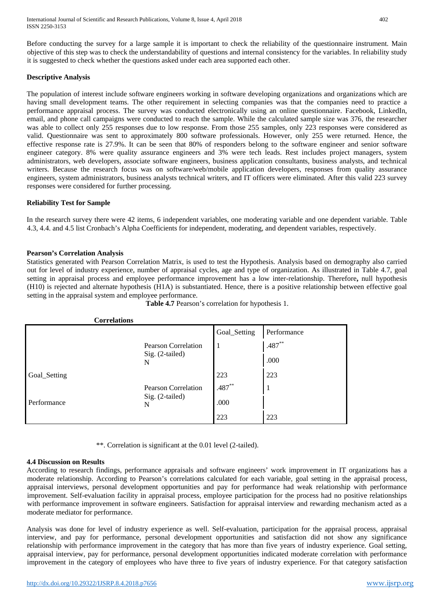Before conducting the survey for a large sample it is important to check the reliability of the questionnaire instrument. Main objective of this step was to check the understandability of questions and internal consistency for the variables. In reliability study it is suggested to check whether the questions asked under each area supported each other.

## **Descriptive Analysis**

The population of interest include software engineers working in software developing organizations and organizations which are having small development teams. The other requirement in selecting companies was that the companies need to practice a performance appraisal process. The survey was conducted electronically using an online questionnaire. Facebook, LinkedIn, email, and phone call campaigns were conducted to reach the sample. While the calculated sample size was 376, the researcher was able to collect only 255 responses due to low response. From those 255 samples, only 223 responses were considered as valid. Questionnaire was sent to approximately 800 software professionals. However, only 255 were returned. Hence, the effective response rate is 27.9%. It can be seen that 80% of responders belong to the software engineer and senior software engineer category. 8% were quality assurance engineers and 3% were tech leads. Rest includes project managers, system administrators, web developers, associate software engineers, business application consultants, business analysts, and technical writers. Because the research focus was on software/web/mobile application developers, responses from quality assurance engineers, system administrators, business analysts technical writers, and IT officers were eliminated. After this valid 223 survey responses were considered for further processing.

## **Reliability Test for Sample**

In the research survey there were 42 items, 6 independent variables, one moderating variable and one dependent variable. Table 4.3, 4.4. and 4.5 list Cronbach's Alpha Coefficients for independent, moderating, and dependent variables, respectively.

## **Pearson's Correlation Analysis**

**Correlations**

Statistics generated with Pearson Correlation Matrix, is used to test the Hypothesis. Analysis based on demography also carried out for level of industry experience, number of appraisal cycles, age and type of organization. As illustrated in Table 4.7, goal setting in appraisal process and employee performance improvement has a low inter-relationship. Therefore**,** null hypothesis (H10) is rejected and alternate hypothesis (H1A) is substantiated. Hence, there is a positive relationship between effective goal setting in the appraisal system and employee performance.

|              | Correiations                                       |              |             |
|--------------|----------------------------------------------------|--------------|-------------|
|              |                                                    | Goal_Setting | Performance |
|              | <b>Pearson Correlation</b>                         | $\mathbf{I}$ | $.487**$    |
|              | Sig. (2-tailed)<br>N                               |              | .000        |
| Goal_Setting |                                                    | 223          | 223         |
| Performance  | <b>Pearson Correlation</b><br>Sig. (2-tailed)<br>N | $.487**$     | 1           |
|              |                                                    | .000         |             |
|              |                                                    | 223          | 223         |

**Table 4.7** Pearson's correlation for hypothesis 1.

\*\*. Correlation is significant at the 0.01 level (2-tailed).

## **4.4 Discussion on Results**

According to research findings, performance appraisals and software engineers' work improvement in IT organizations has a moderate relationship. According to Pearson's correlations calculated for each variable, goal setting in the appraisal process, appraisal interviews, personal development opportunities and pay for performance had weak relationship with performance improvement. Self-evaluation facility in appraisal process, employee participation for the process had no positive relationships with performance improvement in software engineers. Satisfaction for appraisal interview and rewarding mechanism acted as a moderate mediator for performance.

Analysis was done for level of industry experience as well. Self-evaluation, participation for the appraisal process, appraisal interview, and pay for performance, personal development opportunities and satisfaction did not show any significance relationship with performance improvement in the category that has more than five years of industry experience. Goal setting, appraisal interview, pay for performance, personal development opportunities indicated moderate correlation with performance improvement in the category of employees who have three to five years of industry experience. For that category satisfaction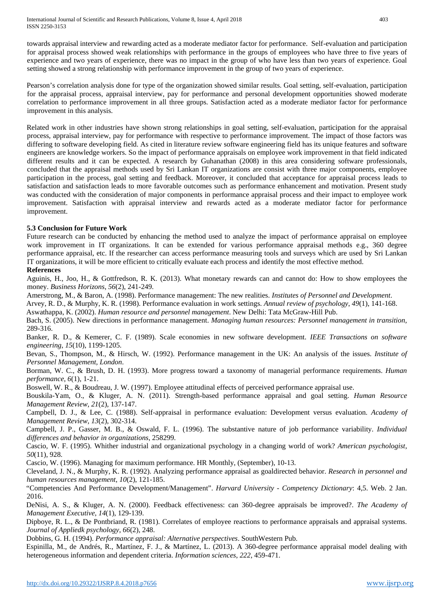towards appraisal interview and rewarding acted as a moderate mediator factor for performance. Self-evaluation and participation for appraisal process showed weak relationships with performance in the groups of employees who have three to five years of experience and two years of experience, there was no impact in the group of who have less than two years of experience. Goal setting showed a strong relationship with performance improvement in the group of two years of experience.

Pearson's correlation analysis done for type of the organization showed similar results. Goal setting, self-evaluation, participation for the appraisal process, appraisal interview, pay for performance and personal development opportunities showed moderate correlation to performance improvement in all three groups. Satisfaction acted as a moderate mediator factor for performance improvement in this analysis.

Related work in other industries have shown strong relationships in goal setting, self-evaluation, participation for the appraisal process, appraisal interview, pay for performance with respective to performance improvement. The impact of those factors was differing to software developing field. As cited in literature review software engineering field has its unique features and software engineers are knowledge workers. So the impact of performance appraisals on employee work improvement in that field indicated different results and it can be expected. A research by Guhanathan (2008) in this area considering software professionals, concluded that the appraisal methods used by Sri Lankan IT organizations are consist with three major components, employee participation in the process, goal setting and feedback. Moreover, it concluded that acceptance for appraisal process leads to satisfaction and satisfaction leads to more favorable outcomes such as performance enhancement and motivation. Present study was conducted with the consideration of major components in performance appraisal process and their impact to employee work improvement. Satisfaction with appraisal interview and rewards acted as a moderate mediator factor for performance improvement.

# **5.3 Conclusion for Future Work**

Future research can be conducted by enhancing the method used to analyze the impact of performance appraisal on employee work improvement in IT organizations. It can be extended for various performance appraisal methods e.g., 360 degree performance appraisal, etc. If the researcher can access performance measuring tools and surveys which are used by Sri Lankan IT organizations, it will be more efficient to critically evaluate each process and identify the most effective method.

# **References**

Aguinis, H., Joo, H., & Gottfredson, R. K. (2013). What monetary rewards can and cannot do: How to show employees the money. *Business Horizons*, *56*(2), 241-249.

Amerstrong, M., & Baron, A. (1998). Performance management: The new realities. *Institutes of Personnel and Development*.

Arvey, R. D., & Murphy, K. R. (1998). Performance evaluation in work settings. *Annual review of psychology*, *49*(1), 141-168.

Aswathappa, K. (2002). *Human resource and personnel management*. New Delhi: Tata McGraw-Hill Pub.

Bach, S. (2005). New directions in performance management. *Managing human resources: Personnel management in transition*, 289-316.

Banker, R. D., & Kemerer, C. F. (1989). Scale economies in new software development. *IEEE Transactions on software engineering*, *15*(10), 1199-1205.

Bevan, S., Thompson, M., & Hirsch, W. (1992). Performance management in the UK: An analysis of the issues. *Institute of Personnel Management, London*.

Borman, W. C., & Brush, D. H. (1993). More progress toward a taxonomy of managerial performance requirements. *Human performance*, *6*(1), 1-21.

Boswell, W. R., & Boudreau, J. W. (1997). Employee attitudinal effects of perceived performance appraisal use.

Bouskila-Yam, O., & Kluger, A. N. (2011). Strength-based performance appraisal and goal setting. *Human Resource Management Review*, *21*(2), 137-147.

Campbell, D. J., & Lee, C. (1988). Self-appraisal in performance evaluation: Development versus evaluation. *Academy of Management Review*, *13*(2), 302-314.

Campbell, J. P., Gasser, M. B., & Oswald, F. L. (1996). The substantive nature of job performance variability. *Individual differences and behavior in organizations*, 258299.

Cascio, W. F. (1995). Whither industrial and organizational psychology in a changing world of work? *American psychologist*, *50*(11), 928.

Cascio, W. (1996). Managing for maximum performance. HR Monthly, (September), 10-13.

Cleveland, J. N., & Murphy, K. R. (1992). Analyzing performance appraisal as goaldirected behavior. *Research in personnel and human resources management*, *10*(2), 121-185.

"Competencies And Performance Development/Management". *Harvard University - Competency Dictionary*: 4,5. Web. 2 Jan. 2016.

DeNisi, A. S., & Kluger, A. N. (2000). Feedback effectiveness: can 360-degree appraisals be improved?. *The Academy of Management Executive*, *14*(1), 129-139.

Dipboye, R. L., & De Pontbriand, R. (1981). Correlates of employee reactions to performance appraisals and appraisal systems. *Journal of Appliedk psychology*, *66*(2), 248.

Dobbins, G. H. (1994). *Performance appraisal: Alternative perspectives*. SouthWestern Pub.

Espinilla, M., de Andrés, R., Martínez, F. J., & Martínez, L. (2013). A 360-degree performance appraisal model dealing with heterogeneous information and dependent criteria. *Information sciences*, *222*, 459-471.